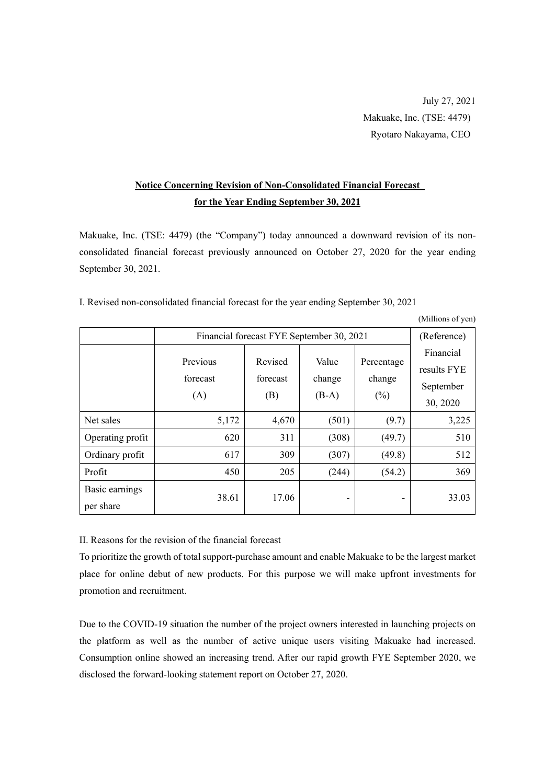## **Notice Concerning Revision of Non-Consolidated Financial Forecast for the Year Ending September 30, 2021**

Makuake, Inc. (TSE: 4479) (the "Company") today announced a downward revision of its nonconsolidated financial forecast previously announced on October 27, 2020 for the year ending September 30, 2021.

|                             |                                           |                            |                            |                                | (Millions of yen)                                 |
|-----------------------------|-------------------------------------------|----------------------------|----------------------------|--------------------------------|---------------------------------------------------|
|                             | Financial forecast FYE September 30, 2021 |                            |                            |                                | (Reference)                                       |
|                             | Previous<br>forecast<br>(A)               | Revised<br>forecast<br>(B) | Value<br>change<br>$(B-A)$ | Percentage<br>change<br>$(\%)$ | Financial<br>results FYE<br>September<br>30, 2020 |
| Net sales                   | 5,172                                     | 4,670                      | (501)                      | (9.7)                          | 3,225                                             |
| Operating profit            | 620                                       | 311                        | (308)                      | (49.7)                         | 510                                               |
| Ordinary profit             | 617                                       | 309                        | (307)                      | (49.8)                         | 512                                               |
| Profit                      | 450                                       | 205                        | (244)                      | (54.2)                         | 369                                               |
| Basic earnings<br>per share | 38.61                                     | 17.06                      |                            |                                | 33.03                                             |

I. Revised non-consolidated financial forecast for the year ending September 30, 2021

II. Reasons for the revision of the financial forecast

To prioritize the growth of total support-purchase amount and enable Makuake to be the largest market place for online debut of new products. For this purpose we will make upfront investments for promotion and recruitment.

Due to the COVID-19 situation the number of the project owners interested in launching projects on the platform as well as the number of active unique users visiting Makuake had increased. Consumption online showed an increasing trend. After our rapid growth FYE September 2020, we disclosed the forward-looking statement report on October 27, 2020.